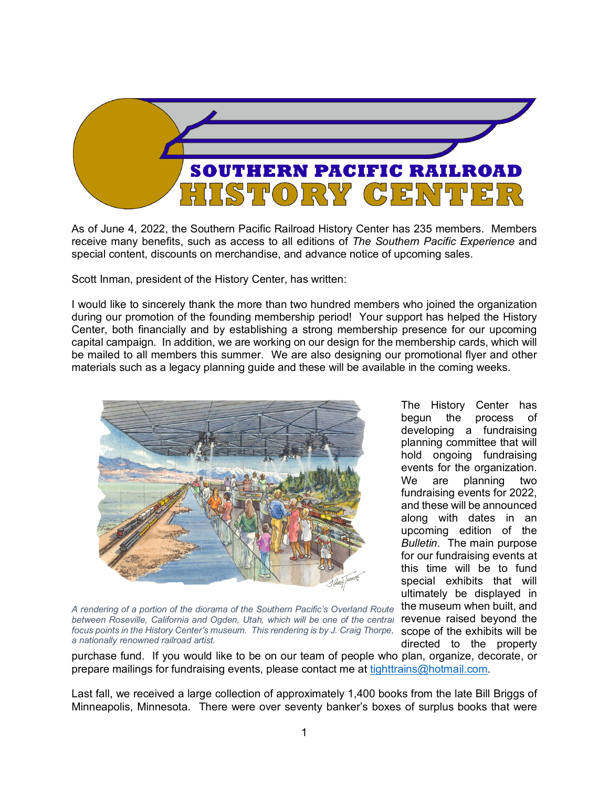

As of June 4, 2022, the Southern Pacific Railroad History Center has 235 members. Members receive many benefits, such as access to all editions of *The Southern Pacific Experience* and special content, discounts on merchandise, and advance notice of upcoming sales.

Scott Inman, president of the History Center, has written:

I would like to sincerely thank the more than two hundred members who joined the organization during our promotion of the founding membership period! Your support has helped the History Center, both financially and by establishing a strong membership presence for our upcoming capital campaign. In addition, we are working on our design for the membership cards, which will be mailed to all members this summer. We are also designing our promotional flyer and other materials such as a legacy planning guide and these will be available in the coming weeks.



*focus points in the History Center's museum. This rendering is by J. Craig Thorpe,* scope of the exhibits will be *A rendering of a portion of the diorama of the Southern Pacific's Overland Route between Roseville, California and Ogden, Utah, which will be one of the central a nationally renowned railroad artist.*

The History Center has begun the process of developing a fundraising planning committee that will hold ongoing fundraising events for the organization. We are planning two fundraising events for 2022, and these will be announced along with dates in an upcoming edition of the *Bulletin*. The main purpose for our fundraising events at this time will be to fund special exhibits that will ultimately be displayed in the museum when built, and revenue raised beyond the directed to the property

purchase fund. If you would like to be on our team of people who plan, organize, decorate, or prepare mailings for fundraising events, please contact me at tighttrains@hotmail.com.

Last fall, we received a large collection of approximately 1,400 books from the late Bill Briggs of Minneapolis, Minnesota. There were over seventy banker's boxes of surplus books that were